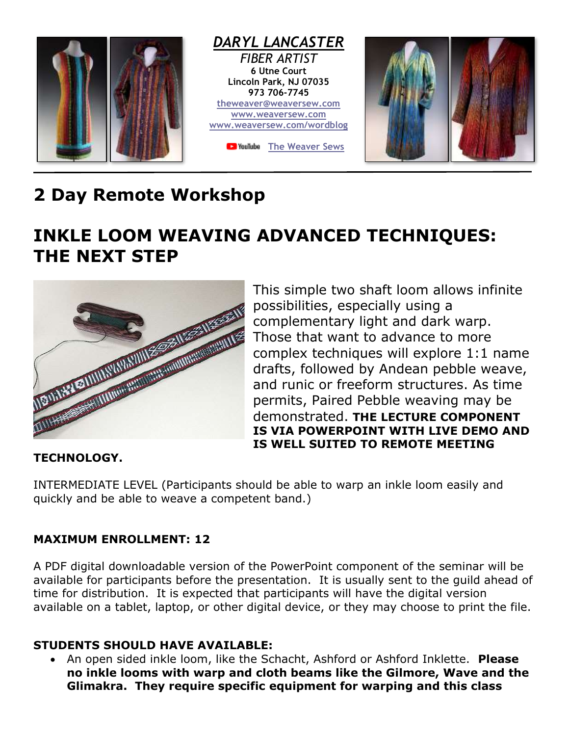

# **2 Day Remote Workshop**

# **INKLE LOOM WEAVING ADVANCED TECHNIQUES: THE NEXT STEP**



This simple two shaft loom allows infinite possibilities, especially using a complementary light and dark warp. Those that want to advance to more complex techniques will explore 1:1 name drafts, followed by Andean pebble weave, and runic or freeform structures. As time permits, Paired Pebble weaving may be demonstrated. **THE LECTURE COMPONENT IS VIA POWERPOINT WITH LIVE DEMO AND IS WELL SUITED TO REMOTE MEETING** 

#### **TECHNOLOGY.**

INTERMEDIATE LEVEL (Participants should be able to warp an inkle loom easily and quickly and be able to weave a competent band.)

#### **MAXIMUM ENROLLMENT: 12**

A PDF digital downloadable version of the PowerPoint component of the seminar will be available for participants before the presentation. It is usually sent to the guild ahead of time for distribution. It is expected that participants will have the digital version available on a tablet, laptop, or other digital device, or they may choose to print the file.

### **STUDENTS SHOULD HAVE AVAILABLE:**

• An open sided inkle loom, like the Schacht, Ashford or Ashford Inklette. **Please no inkle looms with warp and cloth beams like the Gilmore, Wave and the Glimakra. They require specific equipment for warping and this class**